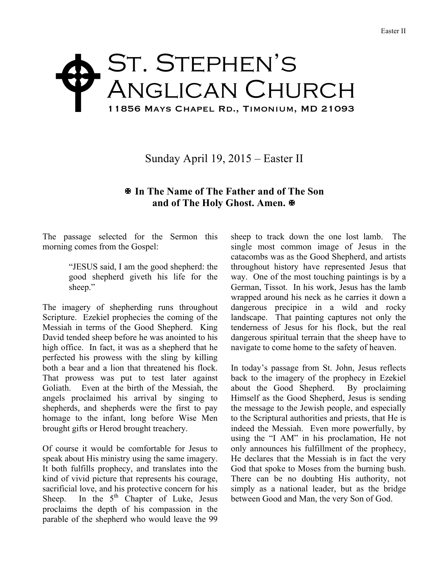## ST. STEPHEN'S Anglican Church 11856 Mays Chapel Rd., Timonium, MD 21093  $\blacklozenge$

Sunday April 19, 2015 – Easter II

## X **In The Name of The Father and of The Son and of The Holy Ghost. Amen.**  $\Phi$

The passage selected for the Sermon this morning comes from the Gospel:

> "JESUS said, I am the good shepherd: the good shepherd giveth his life for the sheep."

The imagery of shepherding runs throughout Scripture. Ezekiel prophecies the coming of the Messiah in terms of the Good Shepherd. King David tended sheep before he was anointed to his high office. In fact, it was as a shepherd that he perfected his prowess with the sling by killing both a bear and a lion that threatened his flock. That prowess was put to test later against Goliath. Even at the birth of the Messiah, the angels proclaimed his arrival by singing to shepherds, and shepherds were the first to pay homage to the infant, long before Wise Men brought gifts or Herod brought treachery.

Of course it would be comfortable for Jesus to speak about His ministry using the same imagery. It both fulfills prophecy, and translates into the kind of vivid picture that represents his courage, sacrificial love, and his protective concern for his Sheep. In the  $5<sup>th</sup>$  Chapter of Luke, Jesus proclaims the depth of his compassion in the parable of the shepherd who would leave the 99 sheep to track down the one lost lamb. The single most common image of Jesus in the catacombs was as the Good Shepherd, and artists throughout history have represented Jesus that way. One of the most touching paintings is by a German, Tissot. In his work, Jesus has the lamb wrapped around his neck as he carries it down a dangerous precipice in a wild and rocky landscape. That painting captures not only the tenderness of Jesus for his flock, but the real dangerous spiritual terrain that the sheep have to navigate to come home to the safety of heaven.

In today's passage from St. John, Jesus reflects back to the imagery of the prophecy in Ezekiel about the Good Shepherd. By proclaiming Himself as the Good Shepherd, Jesus is sending the message to the Jewish people, and especially to the Scriptural authorities and priests, that He is indeed the Messiah. Even more powerfully, by using the "I AM" in his proclamation, He not only announces his fulfillment of the prophecy, He declares that the Messiah is in fact the very God that spoke to Moses from the burning bush. There can be no doubting His authority, not simply as a national leader, but as the bridge between Good and Man, the very Son of God.